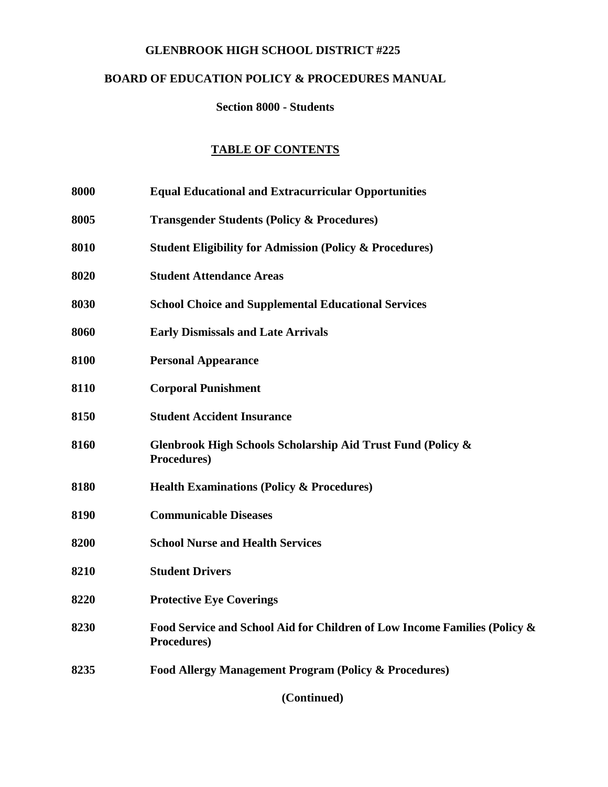### **GLENBROOK HIGH SCHOOL DISTRICT #225**

# **BOARD OF EDUCATION POLICY & PROCEDURES MANUAL**

#### **Section 8000 - Students**

### **TABLE OF CONTENTS**

- **8000 Equal Educational and Extracurricular Opportunities**
- **8005 Transgender Students (Policy & Procedures)**
- **8010 Student Eligibility for Admission (Policy & Procedures)**
- **8020 Student Attendance Areas**
- **8030 School Choice and Supplemental Educational Services**
- **8060 Early Dismissals and Late Arrivals**
- **8100 Personal Appearance**
- **8110 Corporal Punishment**
- **8150 Student Accident Insurance**
- **8160 Glenbrook High Schools Scholarship Aid Trust Fund (Policy & Procedures)**
- **8180 Health Examinations (Policy & Procedures)**
- **8190 Communicable Diseases**
- **8200 School Nurse and Health Services**
- **8210 Student Drivers**
- **8220 Protective Eye Coverings**
- **8230 Food Service and School Aid for Children of Low Income Families (Policy & Procedures)**
- **8235 Food Allergy Management Program (Policy & Procedures)**

**(Continued)**